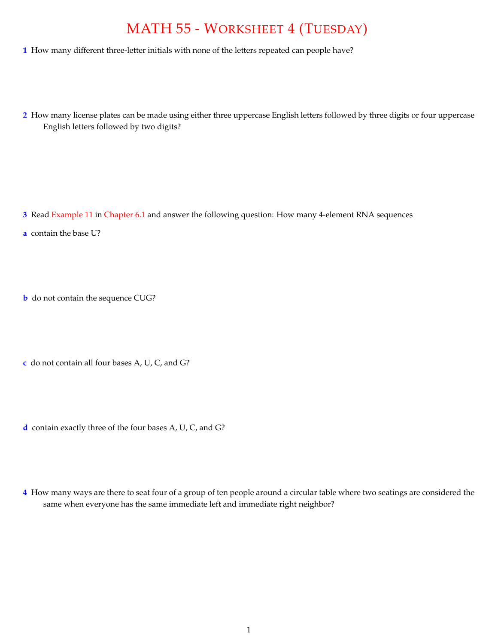## MATH 55 - WORKSHEET 4 (TUESDAY)

- **1** How many different three-letter initials with none of the letters repeated can people have?
- **2** How many license plates can be made using either three uppercase English letters followed by three digits or four uppercase English letters followed by two digits?

- **3** Read Example 11 in Chapter 6.1 and answer the following question: How many 4-element RNA sequences
- **a** contain the base U?
- **b** do not contain the sequence CUG?
- **c** do not contain all four bases A, U, C, and G?
- **d** contain exactly three of the four bases A, U, C, and G?
- **4** How many ways are there to seat four of a group of ten people around a circular table where two seatings are considered the same when everyone has the same immediate left and immediate right neighbor?